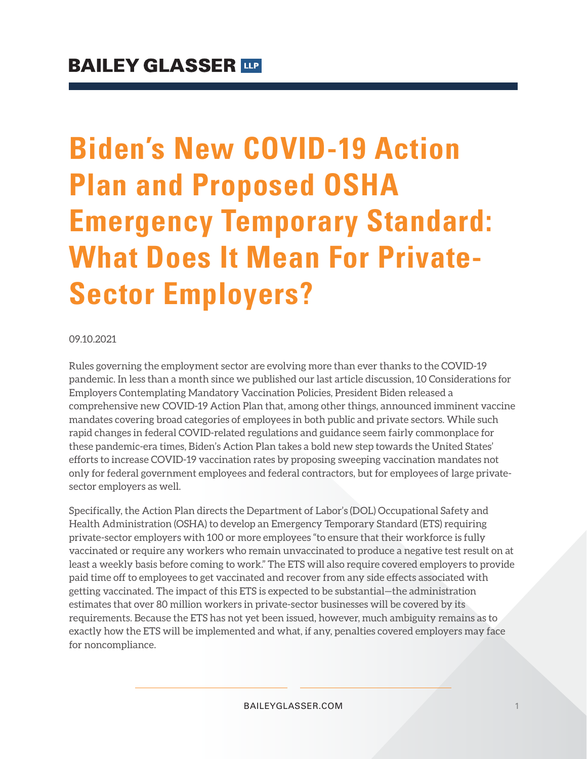# **Biden's New COVID-19 Action Plan and Proposed OSHA Emergency Temporary Standard: What Does It Mean For Private-Sector Employers?**

#### 09.10.2021

Rules governing the employment sector are evolving more than ever thanks to the COVID-19 pandemic. In less than a month since we published our last article discussion, 10 Considerations for Employers Contemplating Mandatory Vaccination Policies, President Biden released a comprehensive new COVID-19 Action Plan that, among other things, announced imminent vaccine mandates covering broad categories of employees in both public and private sectors. While such rapid changes in federal COVID-related regulations and guidance seem fairly commonplace for these pandemic-era times, Biden's Action Plan takes a bold new step towards the United States' efforts to increase COVID-19 vaccination rates by proposing sweeping vaccination mandates not only for federal government employees and federal contractors, but for employees of large privatesector employers as well.

Specifically, the Action Plan directs the Department of Labor's (DOL) Occupational Safety and Health Administration (OSHA) to develop an Emergency Temporary Standard (ETS) requiring private-sector employers with 100 or more employees "to ensure that their workforce is fully vaccinated or require any workers who remain unvaccinated to produce a negative test result on at least a weekly basis before coming to work." The ETS will also require covered employers to provide paid time off to employees to get vaccinated and recover from any side effects associated with getting vaccinated. The impact of this ETS is expected to be substantial—the administration estimates that over 80 million workers in private-sector businesses will be covered by its requirements. Because the ETS has not yet been issued, however, much ambiguity remains as to exactly how the ETS will be implemented and what, if any, penalties covered employers may face for noncompliance.